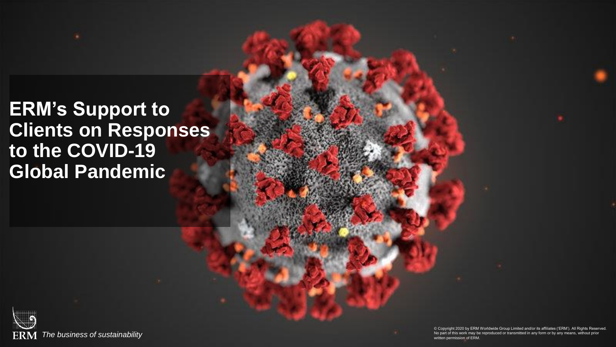# **ERM's Support to Clients on Responses to the COVID-19 Global Pandemic**

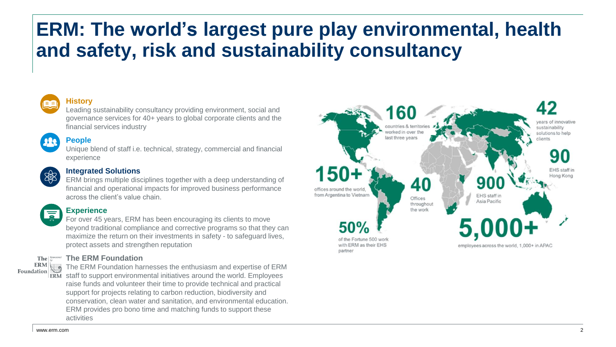# **ERM: The world's largest pure play environmental, health and safety, risk and sustainability consultancy**



#### **History**

Leading sustainability consultancy providing environment, social and governance services for 40+ years to global corporate clients and the financial services industry

#### **People**

Unique blend of staff i.e. technical, strategy, commercial and financial experience



#### **Integrated Solutions**

ERM brings multiple disciplines together with a deep understanding of financial and operational impacts for improved business performance across the client's value chain.



#### **Experience**

For over 45 years, ERM has been encouraging its clients to move beyond traditional compliance and corrective programs so that they can maximize the return on their investments in safety - to safeguard lives, protect assets and strengthen reputation

#### **The ERM Foundation**



The ERM Foundation harnesses the enthusiasm and expertise of ERM ERM staff to support environmental initiatives around the world. Employees raise funds and volunteer their time to provide technical and practical support for projects relating to carbon reduction, biodiversity and conservation, clean water and sanitation, and environmental education. ERM provides pro bono time and matching funds to support these activities

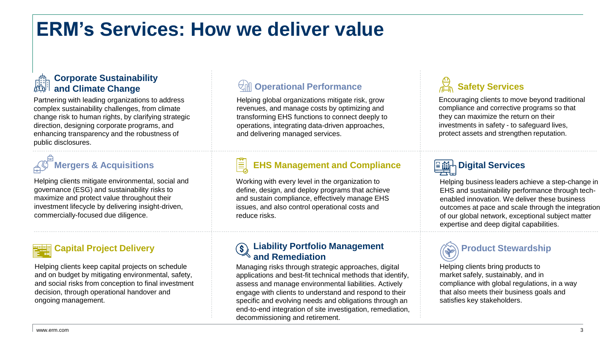# **ERM's Services: How we deliver value**

#### **Corporate Sustainability and Climate Change**

Partnering with leading organizations to address complex sustainability challenges, from climate change risk to human rights, by clarifying strategic direction, designing corporate programs, and enhancing transparency and the robustness of public disclosures.

# **Mergers & Acquisitions**

Helping clients mitigate environmental, social and governance (ESG) and sustainability risks to maximize and protect value throughout their investment lifecycle by delivering insight-driven, commercially-focused due diligence.

### **Capital Project Delivery**

Helping clients keep capital projects on schedule and on budget by mitigating environmental, safety, and social risks from conception to final investment decision, through operational handover and ongoing management.

### **Operational Performance**

Helping global organizations mitigate risk, grow revenues, and manage costs by optimizing and transforming EHS functions to connect deeply to operations, integrating data-driven approaches, and delivering managed services.

#### **EHS Management and Compliance** E

Working with every level in the organization to define, design, and deploy programs that achieve and sustain compliance, effectively manage EHS issues, and also control operational costs and reduce risks.

#### **Liability Portfolio Management and Remediation**

Managing risks through strategic approaches, digital applications and best-fit technical methods that identify, assess and manage environmental liabilities. Actively engage with clients to understand and respond to their specific and evolving needs and obligations through an end-to-end integration of site investigation, remediation, decommissioning and retirement.

## **Safety Services**

Encouraging clients to move beyond traditional compliance and corrective programs so that they can maximize the return on their investments in safety - to safeguard lives, protect assets and strengthen reputation.

# **Digital Services**

Helping business leaders achieve a step-change in EHS and sustainability performance through techenabled innovation. We deliver these business outcomes at pace and scale through the integration of our global network, exceptional subject matter expertise and deep digital capabilities.



Helping clients bring products to market safely, sustainably, and in compliance with global regulations, in a way that also meets their business goals and satisfies key stakeholders.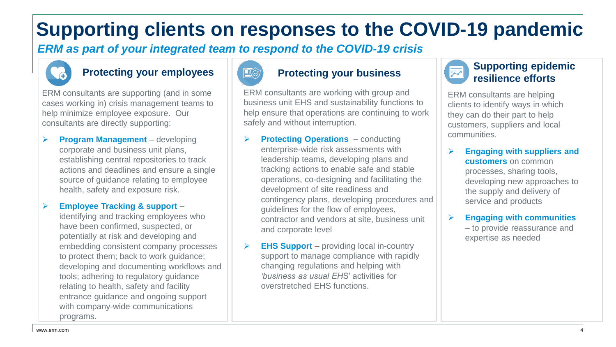# **Supporting clients on responses to the COVID-19 pandemic**

*ERM as part of your integrated team to respond to the COVID-19 crisis*



### **Protecting your employees | 2009 Protecting your business**

ERM consultants are supporting (and in some cases working in) crisis management teams to help minimize employee exposure. Our consultants are directly supporting:

 **Program Management** – developing corporate and business unit plans, establishing central repositories to track actions and deadlines and ensure a single source of guidance relating to employee health, safety and exposure risk.

**Employee Tracking & support** –

identifying and tracking employees who have been confirmed, suspected, or potentially at risk and developing and embedding consistent company processes to protect them; back to work guidance; developing and documenting workflows and tools; adhering to regulatory guidance relating to health, safety and facility entrance guidance and ongoing support with company-wide communications programs.



ERM consultants are working with group and business unit EHS and sustainability functions to help ensure that operations are continuing to work safely and without interruption.

- **Protecting Operations**  conducting enterprise-wide risk assessments with leadership teams, developing plans and tracking actions to enable safe and stable operations, co-designing and facilitating the development of site readiness and contingency plans, developing procedures and guidelines for the flow of employees, contractor and vendors at site, business unit and corporate level
- **EHS Support**  providing local in-country support to manage compliance with rapidly changing regulations and helping with *'business as usual EH*S' activities for overstretched EHS functions.



ERM consultants are helping clients to identify ways in which they can do their part to help customers, suppliers and local communities.

 **Engaging with suppliers and customers** on common processes, sharing tools, developing new approaches to the supply and delivery of service and products

 **Engaging with communities**  – to provide reassurance and expertise as needed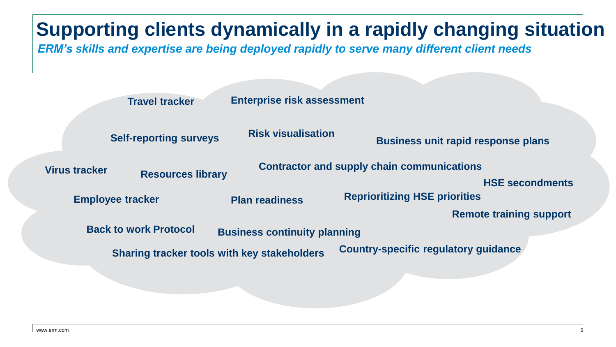# **Supporting clients dynamically in a rapidly changing situation** *ERM's skills and expertise are being deployed rapidly to serve many different client needs*

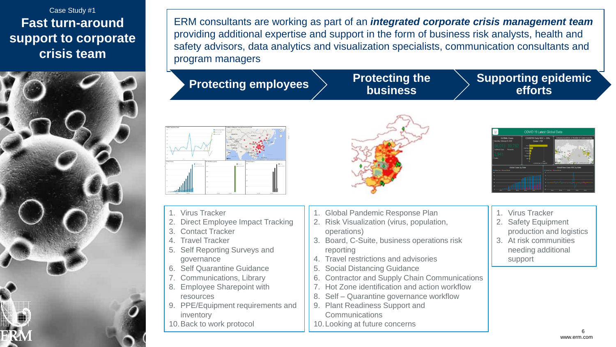### Case Study #1 **Fast turn-around support to corporate crisis team**



ERM consultants are working as part of an *integrated corporate crisis management team*  providing additional expertise and support in the form of business risk analysts, health and safety advisors, data analytics and visualization specialists, communication consultants and program managers

# **Protecting employees Protecting the**

**business**

#### **Supporting epidemic efforts**

| NA TanOO hu Dishi                 |                                                                        | CHINA Confermed Cases by Province 02/05                                                                                     |                                                   |                                                         |
|-----------------------------------|------------------------------------------------------------------------|-----------------------------------------------------------------------------------------------------------------------------|---------------------------------------------------|---------------------------------------------------------|
|                                   | <b>Blancaclaschild</b><br><b>Discount de factor</b><br><b>Briannon</b> | <b><i><u>ANCHAMETER</u></i></b>                                                                                             | <b>Attrivice</b>                                  | $^{(+)}$<br>۰                                           |
|                                   |                                                                        | diam'r.<br><b>SAMP</b><br><b><i><u>ACCOUNT</u></i></b><br>-<br><b>PARKERS</b><br>sea.<br><b>CONTRACTOR</b><br><b>b</b> ling | CHIAVA<br><b>PALLA AVAN</b><br><b>Bellinkrakt</b> | <b>REVENUE</b><br><b>Black</b><br><b>WE BELIEVE BAY</b> |
| test on                           | 111.00                                                                 |                                                                                                                             |                                                   | TITO WAS SOURCE FREE FAVOR DAYOR THE                    |
| NA Ceses<br><b>Business Corp.</b> | CHINA Recoveries                                                       | <b>B</b> onardo                                                                                                             | DIENA Douths<br>                                  | $\bullet$                                               |
|                                   | <b>We Carl York Case</b><br>$\sim$                                     | <b>Blue Immedia</b>                                                                                                         |                                                   | <b>Box</b> Lasts                                        |
|                                   | $-$                                                                    |                                                                                                                             |                                                   |                                                         |
|                                   | $\sim$                                                                 |                                                                                                                             |                                                   |                                                         |
|                                   | $\sim$                                                                 |                                                                                                                             |                                                   |                                                         |
|                                   | $\sim$                                                                 |                                                                                                                             |                                                   |                                                         |

- 1. Virus Tracker
- **Direct Employee Impact Tracking**
- 3. Contact Tracker
- 4. Travel Tracker
- Self Reporting Surveys and governance
- **Self Quarantine Guidance**
- 7. Communications, Library
- **Employee Sharepoint with** resources
- 9. PPE/Equipment requirements and inventory
- 10.Back to work protocol



- 1. Global Pandemic Response Plan
- 2. Risk Visualization (virus, population, operations)
- 3. Board, C-Suite, business operations risk reporting
- 4. Travel restrictions and advisories
- 5. Social Distancing Guidance
- 6. Contractor and Supply Chain Communications
- 7. Hot Zone identification and action workflow
- 8. Self Quarantine governance workflow
- 9. Plant Readiness Support and **Communications**
- 10.Looking at future concerns



- 1. Virus Tracker
- 2. Safety Equipment production and logistics
- 3. At risk communities needing additional support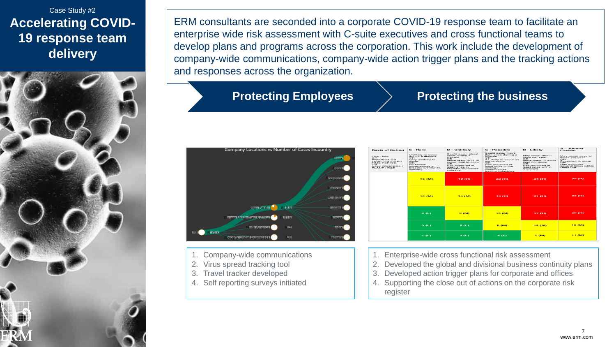### Case Study #2 **Accelerating COVID-19 response team delivery**



ERM consultants are seconded into a corporate COVID-19 response team to facilitate an enterprise wide risk assessment with C-suite executives and cross functional teams to develop plans and programs across the corporation. This work include the development of company-wide communications, company-wide action trigger plans and the tracking actions and responses across the organization.

### **Protecting Employees > Protecting the business**



- 1. Company-wide communications
- 2. Virus spread tracking tool
- 3. Travel tracker developed
- 4. Self reporting surveys initiated

| <b>Basis of Rating</b>                                                                                        | $E = \text{Range}$                                                                                                                                                   | $D$ - Unlikely                                                                                                                                                                           | $C - Poanible$                                                                                                                                                                                                 | $B - L$ ikely                                                                                                                                  | $A =$ Almost<br>Certain                                                                                                      |
|---------------------------------------------------------------------------------------------------------------|----------------------------------------------------------------------------------------------------------------------------------------------------------------------|------------------------------------------------------------------------------------------------------------------------------------------------------------------------------------------|----------------------------------------------------------------------------------------------------------------------------------------------------------------------------------------------------------------|------------------------------------------------------------------------------------------------------------------------------------------------|------------------------------------------------------------------------------------------------------------------------------|
| LIFETIME<br>OR.<br>PROJECT OR<br>TRIAL OR FIXED.<br><b>TIME PERIOD</b><br>OR.<br>NEW PROCESS /<br>PLANT / R&D | Unlikely to occur<br>during a lifetime.<br>OR.<br>Very unlikely to<br><b>OCCUP</b><br>O <sub>R</sub><br>No known<br>occurrences in<br>broader worldwide<br>industry. | Could occur about<br>once during a<br>lifetime<br>O <sub>R</sub><br>More likely NOT to<br>occur than to occur<br>OR<br>Has occurred at<br>least once in<br>broader worldwide<br>industry | Could occur more<br>than once during a<br>lifetime<br>OR.<br>As likely to occur as<br>not to occur<br>O <sub>R</sub><br>Has occurred at<br>least once in the<br>mining /<br>commodities<br>trading industries. | May occur about<br>once per year.<br>OR.<br>More likely to occur<br>than not occur.<br>OR.<br>Has occurred at<br>least once within<br>Glencore | May occur several.<br>times per year.<br>OR.<br>Expected to occur<br>or.<br>Has occurred<br>several times within<br>Glengore |
|                                                                                                               | <b>15 (M)</b>                                                                                                                                                        | <b>19 (H)</b>                                                                                                                                                                            | <b>22 00</b>                                                                                                                                                                                                   | 24 (11)                                                                                                                                        | <b>26 (H)</b>                                                                                                                |
|                                                                                                               | <b>10 (M)</b>                                                                                                                                                        | <b>14 (M)</b>                                                                                                                                                                            | <b>48 (H)</b>                                                                                                                                                                                                  | 21 (H)                                                                                                                                         | 23 (FD)                                                                                                                      |
|                                                                                                               | 6(1)                                                                                                                                                                 | 9(50)                                                                                                                                                                                    | <b>13 (M)</b>                                                                                                                                                                                                  | <b>47 00</b>                                                                                                                                   | <b>20 (H)</b>                                                                                                                |
|                                                                                                               | 3.013                                                                                                                                                                | <b>600</b>                                                                                                                                                                               | <b>8 (M)</b>                                                                                                                                                                                                   | 12 (M)                                                                                                                                         | <b>16 (M)</b>                                                                                                                |
|                                                                                                               | $1$ $(1)$                                                                                                                                                            | 2(1)                                                                                                                                                                                     | 4(1)                                                                                                                                                                                                           | $7$ $(m)$                                                                                                                                      | <b>11 (M)</b>                                                                                                                |

Enterprise-wide cross functional risk assessment

- 2. Developed the global and divisional business continuity plans
- 3. Developed action trigger plans for corporate and offices
- 4. Supporting the close out of actions on the corporate risk register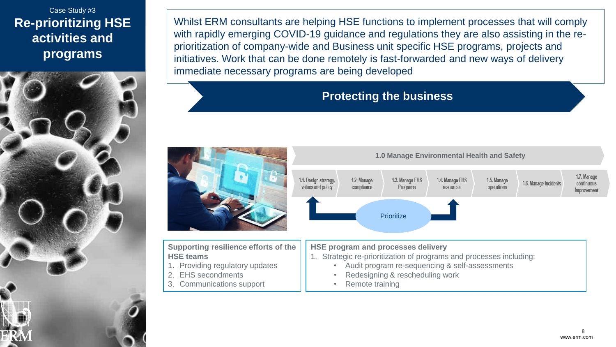Case Study #3 **Re-prioritizing HSE activities and programs** 



Whilst ERM consultants are helping HSE functions to implement processes that will comply with rapidly emerging COVID-19 guidance and regulations they are also assisting in the reprioritization of company-wide and Business unit specific HSE programs, projects and initiatives. Work that can be done remotely is fast-forwarded and new ways of delivery immediate necessary programs are being developed

### **Protecting the business**